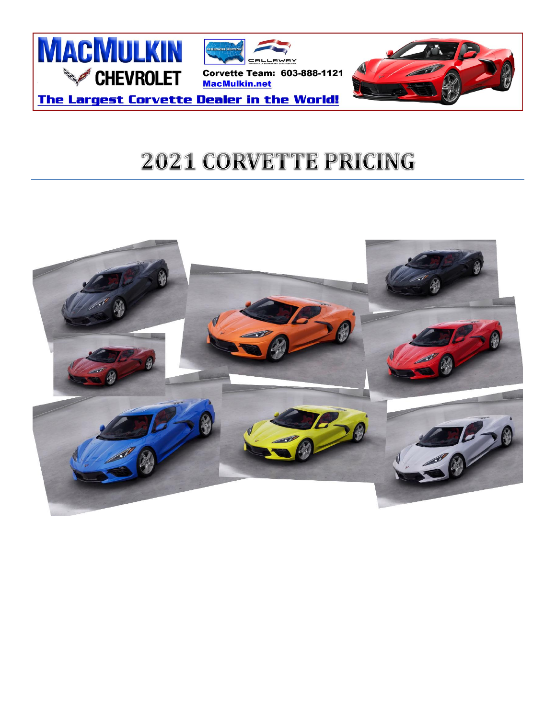

# **2021 CORVETTE PRICING**

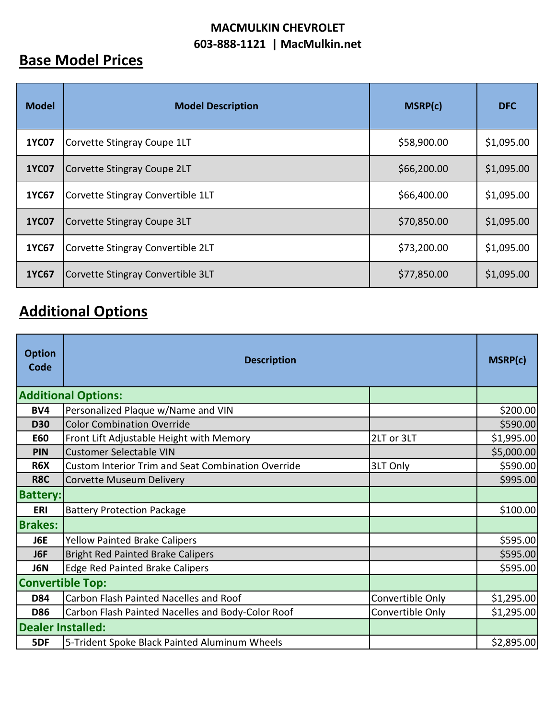#### **MACMULKIN CHEVROLET 603-888-1121 | MacMulkin.net**

### **Base Model Prices**

| <b>Model</b> | <b>Model Description</b>          | MSRP(c)     | <b>DFC</b> |
|--------------|-----------------------------------|-------------|------------|
| <b>1YC07</b> | Corvette Stingray Coupe 1LT       | \$58,900.00 | \$1,095.00 |
| <b>1YC07</b> | Corvette Stingray Coupe 2LT       | \$66,200.00 | \$1,095.00 |
| 1YC67        | Corvette Stingray Convertible 1LT | \$66,400.00 | \$1,095.00 |
| <b>1YC07</b> | Corvette Stingray Coupe 3LT       | \$70,850.00 | \$1,095.00 |
| 1YC67        | Corvette Stingray Convertible 2LT | \$73,200.00 | \$1,095.00 |
| <b>1YC67</b> | Corvette Stingray Convertible 3LT | \$77,850.00 | \$1,095.00 |

## **Additional Options**

| <b>Option</b><br>Code    | <b>Description</b>                                        |                  | MSRP(c)    |
|--------------------------|-----------------------------------------------------------|------------------|------------|
|                          | <b>Additional Options:</b>                                |                  |            |
| BV4                      | Personalized Plaque w/Name and VIN                        |                  | \$200.00   |
| <b>D30</b>               | <b>Color Combination Override</b>                         |                  | \$590.00   |
| <b>E60</b>               | Front Lift Adjustable Height with Memory                  | 2LT or 3LT       | \$1,995.00 |
| PIN                      | <b>Customer Selectable VIN</b>                            |                  | \$5,000.00 |
| R <sub>6</sub> X         | <b>Custom Interior Trim and Seat Combination Override</b> | 3LT Only         | \$590.00   |
| R8C                      | Corvette Museum Delivery                                  |                  | \$995.00   |
| <b>Battery:</b>          |                                                           |                  |            |
| <b>ERI</b>               | <b>Battery Protection Package</b>                         |                  | \$100.00   |
| <b>Brakes:</b>           |                                                           |                  |            |
| J6E                      | <b>Yellow Painted Brake Calipers</b>                      |                  | \$595.00   |
| J6F                      | <b>Bright Red Painted Brake Calipers</b>                  |                  | \$595.00   |
| J6N                      | <b>Edge Red Painted Brake Calipers</b>                    |                  | \$595.00   |
| <b>Convertible Top:</b>  |                                                           |                  |            |
| <b>D84</b>               | Carbon Flash Painted Nacelles and Roof                    | Convertible Only | \$1,295.00 |
| <b>D86</b>               | Carbon Flash Painted Nacelles and Body-Color Roof         | Convertible Only | \$1,295.00 |
| <b>Dealer Installed:</b> |                                                           |                  |            |
| 5DF                      | 5-Trident Spoke Black Painted Aluminum Wheels             |                  | \$2,895.00 |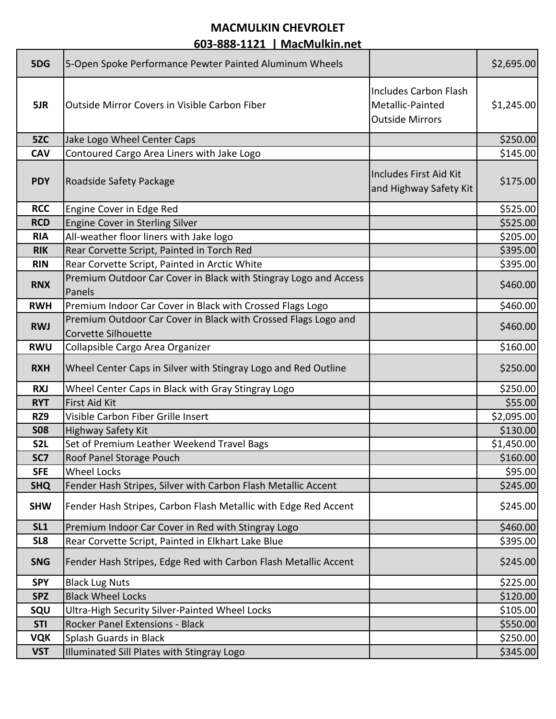#### **MACMULKIN CHEVROLET**

**603-888-1121 | MacMulkin.net**

| 5DG              | 5-Open Spoke Performance Pewter Painted Aluminum Wheels                               |                                                                            | \$2,695.00 |
|------------------|---------------------------------------------------------------------------------------|----------------------------------------------------------------------------|------------|
| 5JR              | <b>Outside Mirror Covers in Visible Carbon Fiber</b>                                  | <b>Includes Carbon Flash</b><br>Metallic-Painted<br><b>Outside Mirrors</b> | \$1,245.00 |
| 5ZC              | Jake Logo Wheel Center Caps                                                           |                                                                            | \$250.00   |
| <b>CAV</b>       | Contoured Cargo Area Liners with Jake Logo                                            |                                                                            | \$145.00   |
| <b>PDY</b>       | Roadside Safety Package                                                               | Includes First Aid Kit<br>and Highway Safety Kit                           | \$175.00   |
| <b>RCC</b>       | Engine Cover in Edge Red                                                              |                                                                            | \$525.00   |
| <b>RCD</b>       | Engine Cover in Sterling Silver                                                       |                                                                            | \$525.00   |
| <b>RIA</b>       | All-weather floor liners with Jake logo                                               |                                                                            | \$205.00   |
| <b>RIK</b>       | Rear Corvette Script, Painted in Torch Red                                            |                                                                            | \$395.00   |
| <b>RIN</b>       | Rear Corvette Script, Painted in Arctic White                                         |                                                                            | \$395.00   |
| <b>RNX</b>       | Premium Outdoor Car Cover in Black with Stingray Logo and Access<br>Panels            |                                                                            | \$460.00   |
| <b>RWH</b>       | Premium Indoor Car Cover in Black with Crossed Flags Logo                             |                                                                            | \$460.00]  |
| <b>RWJ</b>       | Premium Outdoor Car Cover in Black with Crossed Flags Logo and<br>Corvette Silhouette |                                                                            | \$460.00   |
| <b>RWU</b>       | Collapsible Cargo Area Organizer                                                      |                                                                            | \$160.00   |
| <b>RXH</b>       | Wheel Center Caps in Silver with Stingray Logo and Red Outline                        |                                                                            | \$250.00   |
| <b>RXJ</b>       | Wheel Center Caps in Black with Gray Stingray Logo                                    |                                                                            | \$250.00   |
| <b>RYT</b>       | First Aid Kit                                                                         |                                                                            | \$55.00    |
| RZ9              | Visible Carbon Fiber Grille Insert                                                    |                                                                            | \$2,095.00 |
| <b>SO8</b>       | <b>Highway Safety Kit</b>                                                             |                                                                            | \$130.00   |
| S <sub>2</sub> L | Set of Premium Leather Weekend Travel Bags                                            |                                                                            | \$1,450.00 |
| SC7              | Roof Panel Storage Pouch                                                              |                                                                            | \$160.00   |
| <b>SFE</b>       | <b>Wheel Locks</b>                                                                    |                                                                            | \$95.00    |
| <b>SHQ</b>       | Fender Hash Stripes, Silver with Carbon Flash Metallic Accent                         |                                                                            | \$245.00   |
| <b>SHW</b>       | Fender Hash Stripes, Carbon Flash Metallic with Edge Red Accent                       |                                                                            | \$245.00   |
| SL <sub>1</sub>  | Premium Indoor Car Cover in Red with Stingray Logo                                    |                                                                            | \$460.00   |
| SL8              | Rear Corvette Script, Painted in Elkhart Lake Blue                                    |                                                                            | \$395.00   |
| <b>SNG</b>       | Fender Hash Stripes, Edge Red with Carbon Flash Metallic Accent                       |                                                                            | \$245.00   |
| <b>SPY</b>       | <b>Black Lug Nuts</b>                                                                 |                                                                            | \$225.00   |
| <b>SPZ</b>       | <b>Black Wheel Locks</b>                                                              |                                                                            | \$120.00   |
| SQU              | Ultra-High Security Silver-Painted Wheel Locks                                        |                                                                            | \$105.00   |
| <b>STI</b>       | Rocker Panel Extensions - Black                                                       |                                                                            | \$550.00   |
| <b>VQK</b>       | Splash Guards in Black                                                                |                                                                            | \$250.00   |
| <b>VST</b>       | Illuminated Sill Plates with Stingray Logo                                            |                                                                            | \$345.00   |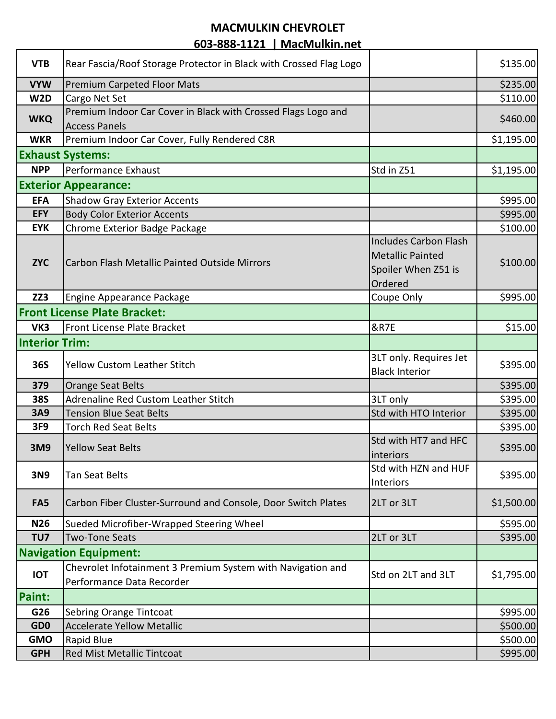#### **MACMULKIN CHEVROLET**

**603-888-1121 | MacMulkin.net**

| <b>VTB</b>            | Rear Fascia/Roof Storage Protector in Black with Crossed Flag Logo |                              | \$135.00   |
|-----------------------|--------------------------------------------------------------------|------------------------------|------------|
| <b>VYW</b>            | <b>Premium Carpeted Floor Mats</b>                                 |                              | \$235.00   |
| W2D                   | Cargo Net Set                                                      |                              | \$110.00   |
| <b>WKQ</b>            | Premium Indoor Car Cover in Black with Crossed Flags Logo and      |                              | \$460.00   |
|                       | <b>Access Panels</b>                                               |                              |            |
| <b>WKR</b>            | Premium Indoor Car Cover, Fully Rendered C8R                       |                              | \$1,195.00 |
|                       | <b>Exhaust Systems:</b>                                            |                              |            |
| <b>NPP</b>            | Performance Exhaust                                                | Std in Z51                   | \$1,195.00 |
|                       | <b>Exterior Appearance:</b>                                        |                              |            |
| <b>EFA</b>            | <b>Shadow Gray Exterior Accents</b>                                |                              | \$995.00   |
| <b>EFY</b>            | <b>Body Color Exterior Accents</b>                                 |                              | \$995.00   |
| <b>EYK</b>            | Chrome Exterior Badge Package                                      |                              | \$100.00   |
|                       |                                                                    | <b>Includes Carbon Flash</b> |            |
|                       |                                                                    | <b>Metallic Painted</b>      |            |
| <b>ZYC</b>            | Carbon Flash Metallic Painted Outside Mirrors                      | Spoiler When Z51 is          | \$100.00   |
|                       |                                                                    | Ordered                      |            |
| ZZ3                   | Engine Appearance Package                                          | Coupe Only                   | \$995.00   |
|                       | <b>Front License Plate Bracket:</b>                                |                              |            |
| VK3                   | Front License Plate Bracket                                        | <b>&amp;R7E</b>              | \$15.00    |
| <b>Interior Trim:</b> |                                                                    |                              |            |
|                       |                                                                    | 3LT only. Requires Jet       |            |
| <b>36S</b>            | <b>Yellow Custom Leather Stitch</b>                                | <b>Black Interior</b>        | \$395.00   |
| 379                   | <b>Orange Seat Belts</b>                                           |                              | \$395.00   |
| <b>38S</b>            | Adrenaline Red Custom Leather Stitch                               | 3LT only                     | \$395.00   |
| 3A9                   | <b>Tension Blue Seat Belts</b>                                     | Std with HTO Interior        | \$395.00   |
| 3F9                   | <b>Torch Red Seat Belts</b>                                        |                              | \$395.00   |
|                       |                                                                    | Std with HT7 and HFC         |            |
| 3M9                   | <b>Yellow Seat Belts</b>                                           | <b>linteriors</b>            | \$395.00   |
|                       |                                                                    | Std with HZN and HUF         |            |
| 3N9                   | <b>Tan Seat Belts</b>                                              | Interiors                    | \$395.00   |
|                       |                                                                    |                              |            |
| FA <sub>5</sub>       | Carbon Fiber Cluster-Surround and Console, Door Switch Plates      | 2LT or 3LT                   | \$1,500.00 |
| <b>N26</b>            | Sueded Microfiber-Wrapped Steering Wheel                           |                              | \$595.00   |
| TU7                   | <b>Two-Tone Seats</b>                                              | 2LT or 3LT                   | \$395.00   |
|                       | <b>Navigation Equipment:</b>                                       |                              |            |
|                       | Chevrolet Infotainment 3 Premium System with Navigation and        |                              |            |
| <b>IOT</b>            | Performance Data Recorder                                          | Std on 2LT and 3LT           | \$1,795.00 |
| <b>Paint:</b>         |                                                                    |                              |            |
| G26                   | Sebring Orange Tintcoat                                            |                              | \$995.00   |
| GD <sub>0</sub>       | <b>Accelerate Yellow Metallic</b>                                  |                              | \$500.00   |
| <b>GMO</b>            | Rapid Blue                                                         |                              | \$500.00   |
| <b>GPH</b>            | Red Mist Metallic Tintcoat                                         |                              | \$995.00   |